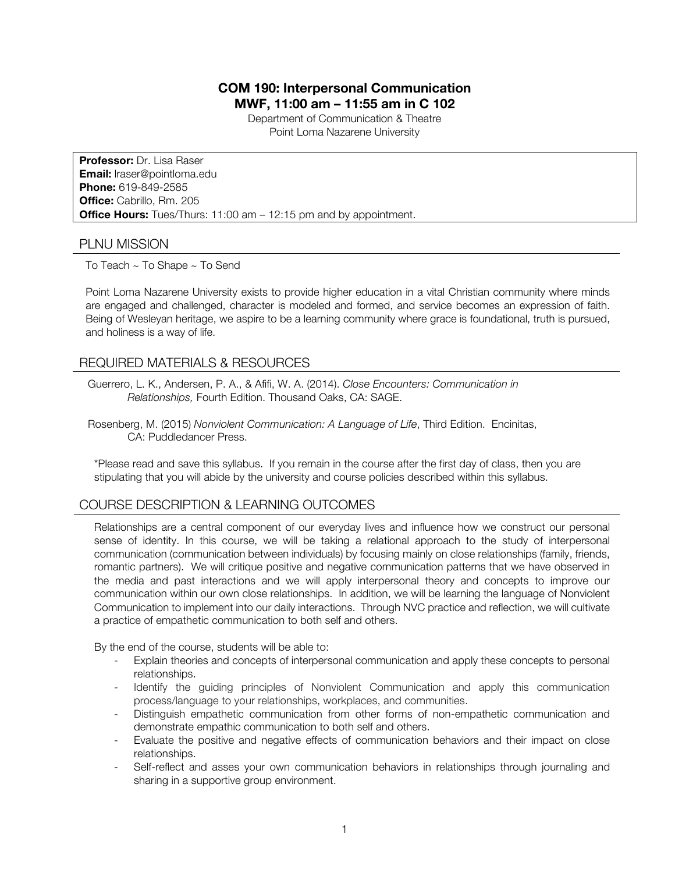# **COM 190: Interpersonal Communication MWF, 11:00 am – 11:55 am in C 102**

Department of Communication & Theatre Point Loma Nazarene University

**Professor:** Dr. Lisa Raser **Email:** lraser@pointloma.edu **Phone:** 619-849-2585 **Office:** Cabrillo, Rm. 205 **Office Hours:** Tues/Thurs: 11:00 am – 12:15 pm and by appointment.

### PLNU MISSION

To Teach ~ To Shape ~ To Send

Point Loma Nazarene University exists to provide higher education in a vital Christian community where minds are engaged and challenged, character is modeled and formed, and service becomes an expression of faith. Being of Wesleyan heritage, we aspire to be a learning community where grace is foundational, truth is pursued, and holiness is a way of life.

### REQUIRED MATERIALS & RESOURCES

- Guerrero, L. K., Andersen, P. A., & Afifi, W. A. (2014). *Close Encounters: Communication in Relationships,* Fourth Edition. Thousand Oaks, CA: SAGE.
- Rosenberg, M. (2015) *Nonviolent Communication: A Language of Life*, Third Edition. Encinitas, CA: Puddledancer Press.

\*Please read and save this syllabus. If you remain in the course after the first day of class, then you are stipulating that you will abide by the university and course policies described within this syllabus.

# COURSE DESCRIPTION & LEARNING OUTCOMES

Relationships are a central component of our everyday lives and influence how we construct our personal sense of identity. In this course, we will be taking a relational approach to the study of interpersonal communication (communication between individuals) by focusing mainly on close relationships (family, friends, romantic partners). We will critique positive and negative communication patterns that we have observed in the media and past interactions and we will apply interpersonal theory and concepts to improve our communication within our own close relationships. In addition, we will be learning the language of Nonviolent Communication to implement into our daily interactions. Through NVC practice and reflection, we will cultivate a practice of empathetic communication to both self and others.

By the end of the course, students will be able to:

- Explain theories and concepts of interpersonal communication and apply these concepts to personal relationships.
- Identify the guiding principles of Nonviolent Communication and apply this communication process/language to your relationships, workplaces, and communities.
- Distinguish empathetic communication from other forms of non-empathetic communication and demonstrate empathic communication to both self and others.
- Evaluate the positive and negative effects of communication behaviors and their impact on close relationships.
- Self-reflect and asses your own communication behaviors in relationships through journaling and sharing in a supportive group environment.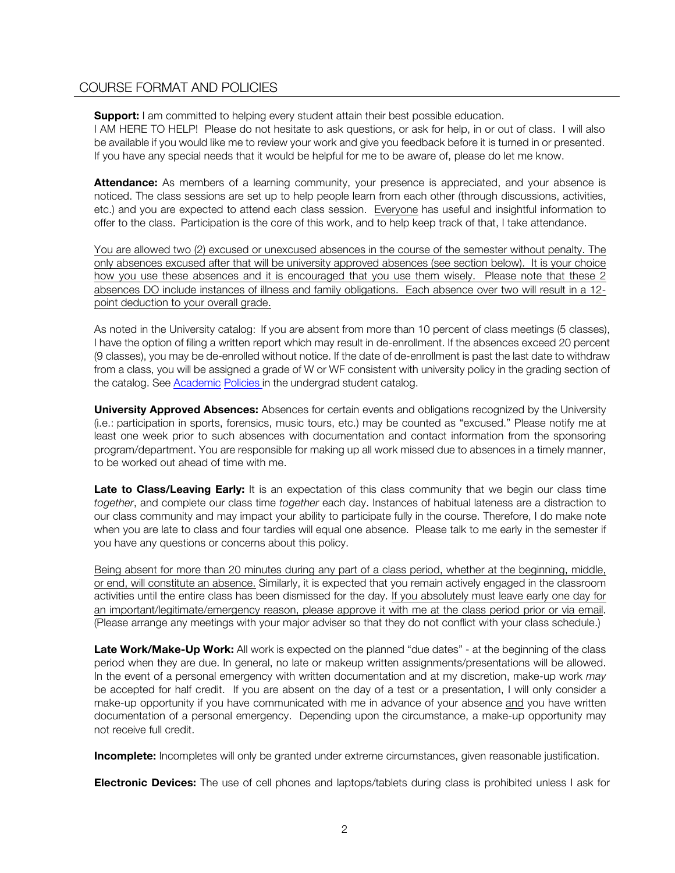## COURSE FORMAT AND POLICIES

**Support:** I am committed to helping every student attain their best possible education.

I AM HERE TO HELP! Please do not hesitate to ask questions, or ask for help, in or out of class. I will also be available if you would like me to review your work and give you feedback before it is turned in or presented. If you have any special needs that it would be helpful for me to be aware of, please do let me know.

**Attendance:** As members of a learning community, your presence is appreciated, and your absence is noticed. The class sessions are set up to help people learn from each other (through discussions, activities, etc.) and you are expected to attend each class session. Everyone has useful and insightful information to offer to the class. Participation is the core of this work, and to help keep track of that, I take attendance.

You are allowed two (2) excused or unexcused absences in the course of the semester without penalty. The only absences excused after that will be university approved absences (see section below). It is your choice how you use these absences and it is encouraged that you use them wisely. Please note that these 2 absences DO include instances of illness and family obligations. Each absence over two will result in a 12 point deduction to your overall grade.

As noted in the University catalog: If you are absent from more than 10 percent of class meetings (5 classes), I have the option of filing a written report which may result in de-enrollment. If the absences exceed 20 percent (9 classes), you may be de-enrolled without notice. If the date of de-enrollment is past the last date to withdraw from a class, you will be assigned a grade of W or WF consistent with university policy in the grading section of the catalog. See Academic Policies in the undergrad student catalog.

**University Approved Absences:** Absences for certain events and obligations recognized by the University (i.e.: participation in sports, forensics, music tours, etc.) may be counted as "excused." Please notify me at least one week prior to such absences with documentation and contact information from the sponsoring program/department. You are responsible for making up all work missed due to absences in a timely manner, to be worked out ahead of time with me.

Late to Class/Leaving Early: It is an expectation of this class community that we begin our class time *together*, and complete our class time *together* each day. Instances of habitual lateness are a distraction to our class community and may impact your ability to participate fully in the course. Therefore, I do make note when you are late to class and four tardies will equal one absence. Please talk to me early in the semester if you have any questions or concerns about this policy.

Being absent for more than 20 minutes during any part of a class period, whether at the beginning, middle, or end, will constitute an absence. Similarly, it is expected that you remain actively engaged in the classroom activities until the entire class has been dismissed for the day. If you absolutely must leave early one day for an important/legitimate/emergency reason, please approve it with me at the class period prior or via email. (Please arrange any meetings with your major adviser so that they do not conflict with your class schedule.)

Late Work/Make-Up Work: All work is expected on the planned "due dates" - at the beginning of the class period when they are due. In general, no late or makeup written assignments/presentations will be allowed. In the event of a personal emergency with written documentation and at my discretion, make-up work *may* be accepted for half credit. If you are absent on the day of a test or a presentation, I will only consider a make-up opportunity if you have communicated with me in advance of your absence and you have written documentation of a personal emergency. Depending upon the circumstance, a make-up opportunity may not receive full credit.

**Incomplete:** Incompletes will only be granted under extreme circumstances, given reasonable justification.

**Electronic Devices:** The use of cell phones and laptops/tablets during class is prohibited unless I ask for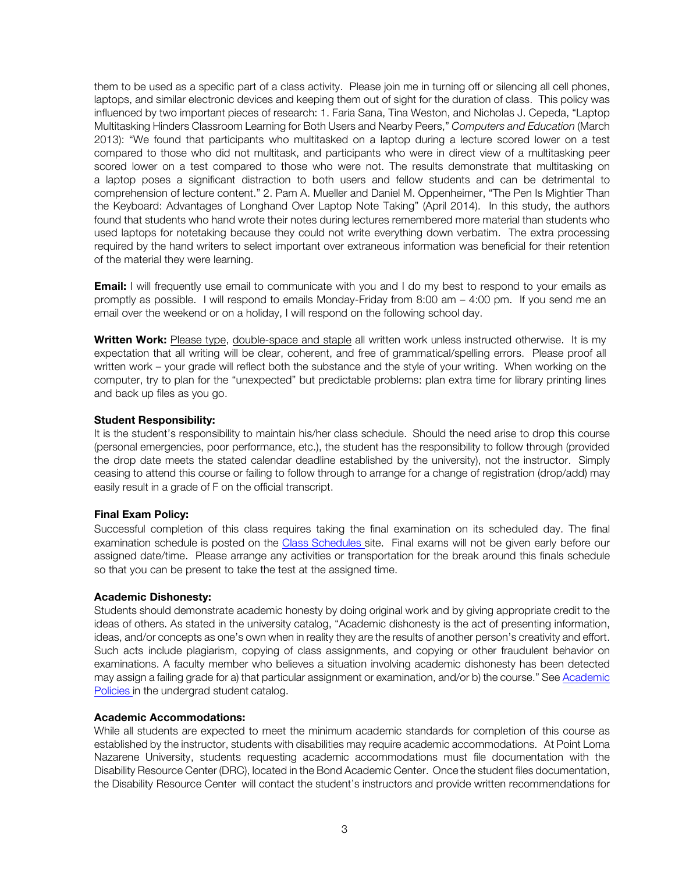them to be used as a specific part of a class activity. Please join me in turning off or silencing all cell phones, laptops, and similar electronic devices and keeping them out of sight for the duration of class. This policy was influenced by two important pieces of research: 1. Faria Sana, Tina Weston, and Nicholas J. Cepeda, "Laptop Multitasking Hinders Classroom Learning for Both Users and Nearby Peers," *Computers and Education* (March 2013): "We found that participants who multitasked on a laptop during a lecture scored lower on a test compared to those who did not multitask, and participants who were in direct view of a multitasking peer scored lower on a test compared to those who were not. The results demonstrate that multitasking on a laptop poses a significant distraction to both users and fellow students and can be detrimental to comprehension of lecture content." 2. Pam A. Mueller and Daniel M. Oppenheimer, "The Pen Is Mightier Than the Keyboard: Advantages of Longhand Over Laptop Note Taking" (April 2014). In this study, the authors found that students who hand wrote their notes during lectures remembered more material than students who used laptops for notetaking because they could not write everything down verbatim. The extra processing required by the hand writers to select important over extraneous information was beneficial for their retention of the material they were learning.

**Email:** I will frequently use email to communicate with you and I do my best to respond to your emails as promptly as possible. I will respond to emails Monday-Friday from 8:00 am – 4:00 pm. If you send me an email over the weekend or on a holiday, I will respond on the following school day.

**Written Work:** Please type, double-space and staple all written work unless instructed otherwise.It is my expectation that all writing will be clear, coherent, and free of grammatical/spelling errors. Please proof all written work – your grade will reflect both the substance and the style of your writing. When working on the computer, try to plan for the "unexpected" but predictable problems: plan extra time for library printing lines and back up files as you go.

#### **Student Responsibility:**

It is the student's responsibility to maintain his/her class schedule. Should the need arise to drop this course (personal emergencies, poor performance, etc.), the student has the responsibility to follow through (provided the drop date meets the stated calendar deadline established by the university), not the instructor. Simply ceasing to attend this course or failing to follow through to arrange for a change of registration (drop/add) may easily result in a grade of F on the official transcript.

#### **Final Exam Policy:**

Successful completion of this class requires taking the final examination on its scheduled day. The final examination schedule is posted on the Class Schedules site. Final exams will not be given early before our assigned date/time. Please arrange any activities or transportation for the break around this finals schedule so that you can be present to take the test at the assigned time.

#### **Academic Dishonesty:**

Students should demonstrate academic honesty by doing original work and by giving appropriate credit to the ideas of others. As stated in the university catalog, "Academic dishonesty is the act of presenting information, ideas, and/or concepts as one's own when in reality they are the results of another person's creativity and effort. Such acts include plagiarism, copying of class assignments, and copying or other fraudulent behavior on examinations. A faculty member who believes a situation involving academic dishonesty has been detected may assign a failing grade for a) that particular assignment or examination, and/or b) the course." See Academic Policies in the undergrad student catalog.

#### **Academic Accommodations:**

While all students are expected to meet the minimum academic standards for completion of this course as established by the instructor, students with disabilities may require academic accommodations. At Point Loma Nazarene University, students requesting academic accommodations must file documentation with the Disability Resource Center (DRC), located in the Bond Academic Center. Once the student files documentation, the Disability Resource Center will contact the student's instructors and provide written recommendations for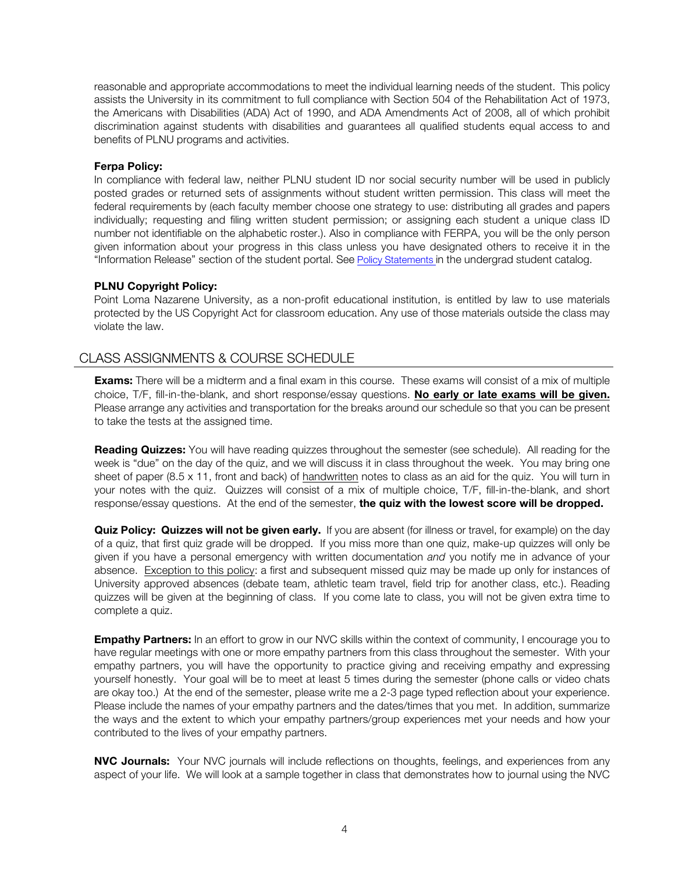reasonable and appropriate accommodations to meet the individual learning needs of the student. This policy assists the University in its commitment to full compliance with Section 504 of the Rehabilitation Act of 1973, the Americans with Disabilities (ADA) Act of 1990, and ADA Amendments Act of 2008, all of which prohibit discrimination against students with disabilities and guarantees all qualified students equal access to and benefits of PLNU programs and activities.

#### **Ferpa Policy:**

In compliance with federal law, neither PLNU student ID nor social security number will be used in publicly posted grades or returned sets of assignments without student written permission. This class will meet the federal requirements by (each faculty member choose one strategy to use: distributing all grades and papers individually; requesting and filing written student permission; or assigning each student a unique class ID number not identifiable on the alphabetic roster.). Also in compliance with FERPA, you will be the only person given information about your progress in this class unless you have designated others to receive it in the "Information Release" section of the student portal. See Policy Statements in the undergrad student catalog.

#### **PLNU Copyright Policy:**

Point Loma Nazarene University, as a non-profit educational institution, is entitled by law to use materials protected by the US Copyright Act for classroom education. Any use of those materials outside the class may violate the law.

## CLASS ASSIGNMENTS & COURSE SCHEDULE

**Exams:** There will be a midterm and a final exam in this course. These exams will consist of a mix of multiple choice, T/F, fill-in-the-blank, and short response/essay questions. **No early or late exams will be given.** Please arrange any activities and transportation for the breaks around our schedule so that you can be present to take the tests at the assigned time.

**Reading Quizzes:** You will have reading quizzes throughout the semester (see schedule). All reading for the week is "due" on the day of the quiz, and we will discuss it in class throughout the week. You may bring one sheet of paper (8.5 x 11, front and back) of handwritten notes to class as an aid for the quiz. You will turn in your notes with the quiz. Quizzes will consist of a mix of multiple choice, T/F, fill-in-the-blank, and short response/essay questions. At the end of the semester, **the quiz with the lowest score will be dropped.**

**Quiz Policy: Quizzes will not be given early.** If you are absent (for illness or travel, for example) on the day of a quiz, that first quiz grade will be dropped. If you miss more than one quiz, make-up quizzes will only be given if you have a personal emergency with written documentation *and* you notify me in advance of your absence. Exception to this policy: a first and subsequent missed quiz may be made up only for instances of University approved absences (debate team, athletic team travel, field trip for another class, etc.). Reading quizzes will be given at the beginning of class. If you come late to class, you will not be given extra time to complete a quiz.

**Empathy Partners:** In an effort to grow in our NVC skills within the context of community, I encourage you to have regular meetings with one or more empathy partners from this class throughout the semester. With your empathy partners, you will have the opportunity to practice giving and receiving empathy and expressing yourself honestly. Your goal will be to meet at least 5 times during the semester (phone calls or video chats are okay too.) At the end of the semester, please write me a 2-3 page typed reflection about your experience. Please include the names of your empathy partners and the dates/times that you met. In addition, summarize the ways and the extent to which your empathy partners/group experiences met your needs and how your contributed to the lives of your empathy partners.

**NVC Journals:** Your NVC journals will include reflections on thoughts, feelings, and experiences from any aspect of your life. We will look at a sample together in class that demonstrates how to journal using the NVC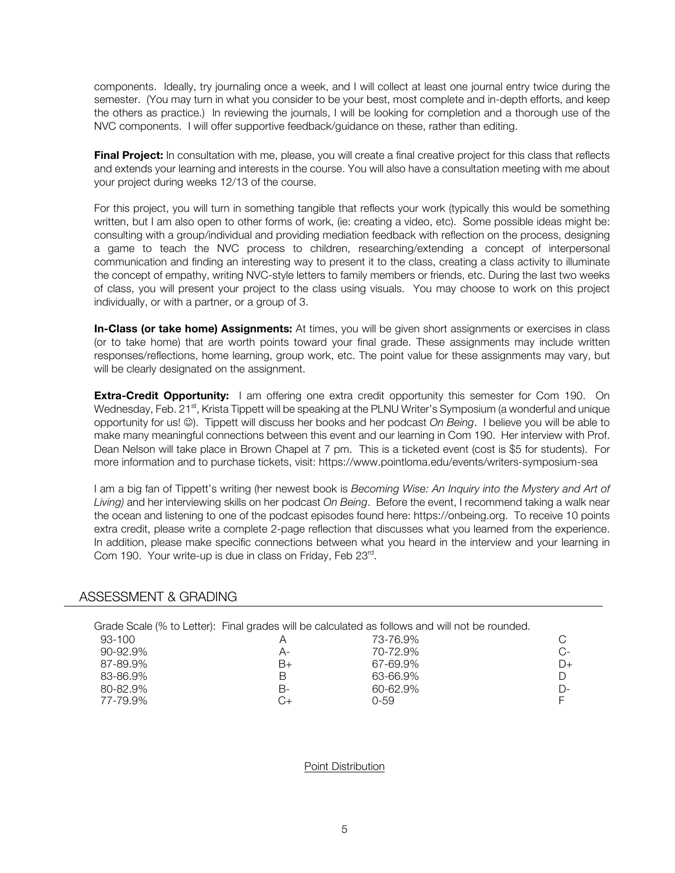components. Ideally, try journaling once a week, and I will collect at least one journal entry twice during the semester. (You may turn in what you consider to be your best, most complete and in-depth efforts, and keep the others as practice.) In reviewing the journals, I will be looking for completion and a thorough use of the NVC components. I will offer supportive feedback/guidance on these, rather than editing.

**Final Project:** In consultation with me, please, you will create a final creative project for this class that reflects and extends your learning and interests in the course. You will also have a consultation meeting with me about your project during weeks 12/13 of the course.

For this project, you will turn in something tangible that reflects your work (typically this would be something written, but I am also open to other forms of work, (ie: creating a video, etc). Some possible ideas might be: consulting with a group/individual and providing mediation feedback with reflection on the process, designing a game to teach the NVC process to children, researching/extending a concept of interpersonal communication and finding an interesting way to present it to the class, creating a class activity to illuminate the concept of empathy, writing NVC-style letters to family members or friends, etc. During the last two weeks of class, you will present your project to the class using visuals. You may choose to work on this project individually, or with a partner, or a group of 3.

**In-Class (or take home) Assignments:** At times, you will be given short assignments or exercises in class (or to take home) that are worth points toward your final grade. These assignments may include written responses/reflections, home learning, group work, etc. The point value for these assignments may vary, but will be clearly designated on the assignment.

**Extra-Credit Opportunity:** I am offering one extra credit opportunity this semester for Com 190. On Wednesday, Feb. 21<sup>st</sup>, Krista Tippett will be speaking at the PLNU Writer's Symposium (a wonderful and unique opportunity for us! (3). Tippett will discuss her books and her podcast *On Being*. I believe you will be able to make many meaningful connections between this event and our learning in Com 190. Her interview with Prof. Dean Nelson will take place in Brown Chapel at 7 pm. This is a ticketed event (cost is \$5 for students). For more information and to purchase tickets, visit: https://www.pointloma.edu/events/writers-symposium-sea

I am a big fan of Tippett's writing (her newest book is *Becoming Wise: An Inquiry into the Mystery and Art of Living)* and her interviewing skills on her podcast *On Being*. Before the event, I recommend taking a walk near the ocean and listening to one of the podcast episodes found here: https://onbeing.org. To receive 10 points extra credit, please write a complete 2-page reflection that discusses what you learned from the experience. In addition, please make specific connections between what you heard in the interview and your learning in Com 190. Your write-up is due in class on Friday, Feb 23rd.

### ASSESSMENT & GRADING

|               |    | Grade Scale (% to Letter): Final grades will be calculated as follows and will not be rounded. |      |
|---------------|----|------------------------------------------------------------------------------------------------|------|
| 93-100        |    | 73-76.9%                                                                                       |      |
| $90 - 92.9\%$ | А- | 70-72.9%                                                                                       | $C-$ |
| 87-89.9%      | B+ | 67-69.9%                                                                                       | $D+$ |
| 83-86.9%      | R  | 63-66.9%                                                                                       |      |
| 80-82.9%      | В- | 60-62.9%                                                                                       | D-   |
| 77-79.9%      |    | Ი-59                                                                                           |      |

Point Distribution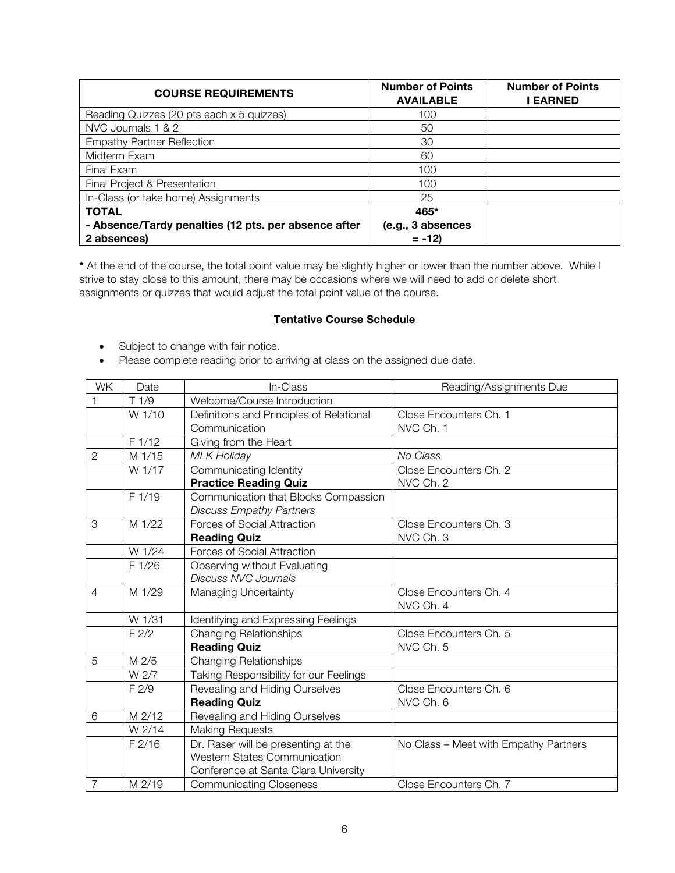| <b>COURSE REQUIREMENTS</b>                                          | <b>Number of Points</b><br><b>AVAILABLE</b> | <b>Number of Points</b><br><b>EARNED</b> |
|---------------------------------------------------------------------|---------------------------------------------|------------------------------------------|
| Reading Quizzes (20 pts each x 5 quizzes)                           | 100                                         |                                          |
| NVC Journals 1 & 2                                                  | 50                                          |                                          |
| <b>Empathy Partner Reflection</b>                                   | 30                                          |                                          |
| Midterm Exam                                                        | 60                                          |                                          |
| Final Exam                                                          | 100                                         |                                          |
| Final Project & Presentation                                        | 100                                         |                                          |
| In-Class (or take home) Assignments                                 | 25                                          |                                          |
| <b>TOTAL</b>                                                        | 465*                                        |                                          |
| - Absence/Tardy penalties (12 pts. per absence after<br>2 absences) | (e.g., 3 absences<br>$= -12$                |                                          |

**\*** At the end of the course, the total point value may be slightly higher or lower than the number above. While I strive to stay close to this amount, there may be occasions where we will need to add or delete short assignments or quizzes that would adjust the total point value of the course.

### **Tentative Course Schedule**

- Subject to change with fair notice.
- Please complete reading prior to arriving at class on the assigned due date.

| <b>WK</b>      | Date             | In-Class                                 | Reading/Assignments Due               |
|----------------|------------------|------------------------------------------|---------------------------------------|
|                | T1/9             | Welcome/Course Introduction              |                                       |
|                | W 1/10           | Definitions and Principles of Relational | Close Encounters Ch. 1                |
|                |                  | Communication                            | NVC Ch. 1                             |
|                | F 1/12           | Giving from the Heart                    |                                       |
| $\mathbf{2}$   | M 1/15           | <b>MLK Holiday</b>                       | No Class                              |
|                | W 1/17           | Communicating Identity                   | Close Encounters Ch. 2                |
|                |                  | <b>Practice Reading Quiz</b>             | NVC Ch. 2                             |
|                | F1/19            | Communication that Blocks Compassion     |                                       |
|                |                  | <b>Discuss Empathy Partners</b>          |                                       |
| 3              | M 1/22           | <b>Forces of Social Attraction</b>       | Close Encounters Ch. 3                |
|                |                  | <b>Reading Quiz</b>                      | NVC Ch. 3                             |
|                | W 1/24           | Forces of Social Attraction              |                                       |
|                | F 1/26           | Observing without Evaluating             |                                       |
|                |                  | <b>Discuss NVC Journals</b>              |                                       |
| $\overline{4}$ | M 1/29           | Managing Uncertainty                     | Close Encounters Ch. 4                |
|                |                  |                                          | NVC Ch. 4                             |
|                | W 1/31           | Identifying and Expressing Feelings      |                                       |
|                | F <sub>2/2</sub> | <b>Changing Relationships</b>            | Close Encounters Ch. 5                |
|                |                  | <b>Reading Quiz</b>                      | NVC Ch. 5                             |
| 5              | M 2/5            | <b>Changing Relationships</b>            |                                       |
|                | W 2/7            | Taking Responsibility for our Feelings   |                                       |
|                | F2/9             | Revealing and Hiding Ourselves           | Close Encounters Ch. 6                |
|                |                  | <b>Reading Quiz</b>                      | NVC Ch. 6                             |
| 6              | M 2/12           | Revealing and Hiding Ourselves           |                                       |
|                | W 2/14           | <b>Making Requests</b>                   |                                       |
|                | $F$ 2/16         | Dr. Raser will be presenting at the      | No Class - Meet with Empathy Partners |
|                |                  | <b>Western States Communication</b>      |                                       |
|                |                  | Conference at Santa Clara University     |                                       |
| $\overline{7}$ | M 2/19           | <b>Communicating Closeness</b>           | Close Encounters Ch. 7                |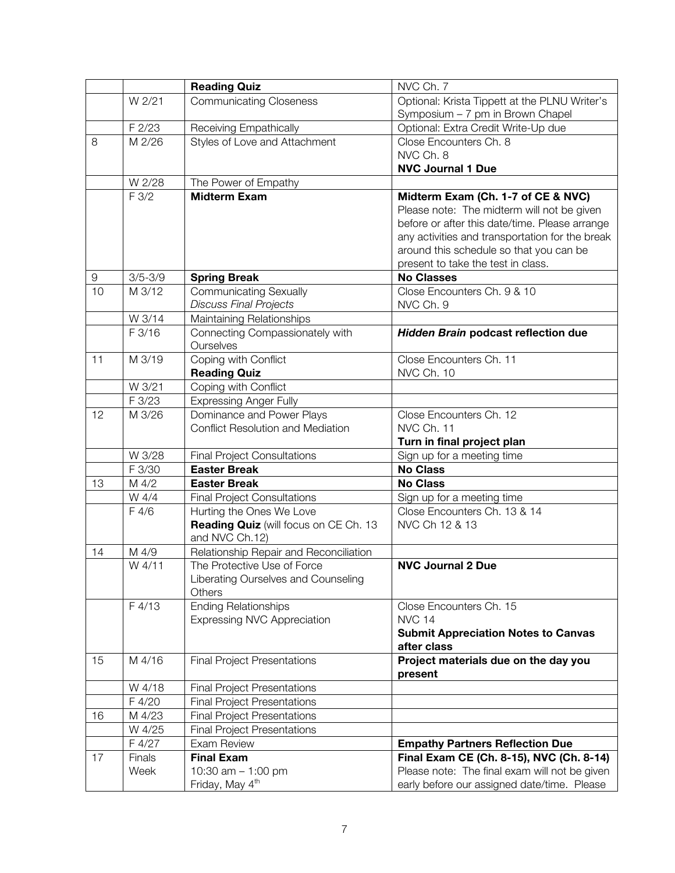|                  |             | <b>Reading Quiz</b>                                 | NVC Ch. 7                                       |
|------------------|-------------|-----------------------------------------------------|-------------------------------------------------|
|                  | W 2/21      | <b>Communicating Closeness</b>                      | Optional: Krista Tippett at the PLNU Writer's   |
|                  |             |                                                     | Symposium - 7 pm in Brown Chapel                |
|                  | F 2/23      | Receiving Empathically                              | Optional: Extra Credit Write-Up due             |
| 8                | M 2/26      | Styles of Love and Attachment                       | Close Encounters Ch. 8                          |
|                  |             |                                                     | NVC Ch. 8                                       |
|                  |             |                                                     | <b>NVC Journal 1 Due</b>                        |
|                  | W 2/28      | The Power of Empathy                                |                                                 |
|                  | F 3/2       | <b>Midterm Exam</b>                                 | Midterm Exam (Ch. 1-7 of CE & NVC)              |
|                  |             |                                                     | Please note: The midterm will not be given      |
|                  |             |                                                     | before or after this date/time. Please arrange  |
|                  |             |                                                     | any activities and transportation for the break |
|                  |             |                                                     | around this schedule so that you can be         |
|                  |             |                                                     | present to take the test in class.              |
| $\boldsymbol{9}$ | $3/5 - 3/9$ | <b>Spring Break</b>                                 | <b>No Classes</b>                               |
| 10               | M 3/12      | <b>Communicating Sexually</b>                       | Close Encounters Ch. 9 & 10                     |
|                  |             | <b>Discuss Final Projects</b>                       | NVC Ch. 9                                       |
|                  | W 3/14      | Maintaining Relationships                           |                                                 |
|                  | F 3/16      | Connecting Compassionately with<br>Ourselves        | Hidden Brain podcast reflection due             |
| 11               | M 3/19      | Coping with Conflict                                | Close Encounters Ch. 11                         |
|                  |             | <b>Reading Quiz</b>                                 | NVC Ch. 10                                      |
|                  | W 3/21      | Coping with Conflict                                |                                                 |
|                  | F 3/23      | Expressing Anger Fully                              |                                                 |
| 12               | M 3/26      | Dominance and Power Plays                           | Close Encounters Ch. 12                         |
|                  |             | <b>Conflict Resolution and Mediation</b>            | NVC Ch. 11                                      |
|                  |             |                                                     | Turn in final project plan                      |
|                  | W 3/28      | <b>Final Project Consultations</b>                  | Sign up for a meeting time                      |
|                  | F 3/30      | <b>Easter Break</b>                                 | <b>No Class</b>                                 |
| 13               | M 4/2       | <b>Easter Break</b>                                 | <b>No Class</b>                                 |
|                  | W 4/4       | <b>Final Project Consultations</b>                  | Sign up for a meeting time                      |
|                  | F 4/6       | Hurting the Ones We Love                            | Close Encounters Ch. 13 & 14                    |
|                  |             | Reading Quiz (will focus on CE Ch. 13               | NVC Ch 12 & 13                                  |
|                  |             | and NVC Ch.12)                                      |                                                 |
| 14               | M 4/9       | Relationship Repair and Reconciliation              |                                                 |
|                  | W 4/11      | The Protective Use of Force                         | <b>NVC Journal 2 Due</b>                        |
|                  |             | Liberating Ourselves and Counseling                 |                                                 |
|                  |             | Others                                              |                                                 |
|                  | F 4/13      | Ending Relationships                                | Close Encounters Ch. 15                         |
|                  |             | Expressing NVC Appreciation                         | <b>NVC 14</b>                                   |
|                  |             |                                                     | <b>Submit Appreciation Notes to Canvas</b>      |
|                  |             |                                                     | after class                                     |
| 15               | M 4/16      | <b>Final Project Presentations</b>                  | Project materials due on the day you            |
|                  |             |                                                     | present                                         |
|                  | W 4/18      | <b>Final Project Presentations</b>                  |                                                 |
|                  | F 4/20      | <b>Final Project Presentations</b>                  |                                                 |
| 16               | M 4/23      | <b>Final Project Presentations</b>                  |                                                 |
|                  | W 4/25      | <b>Final Project Presentations</b>                  |                                                 |
|                  | F 4/27      | Exam Review                                         | <b>Empathy Partners Reflection Due</b>          |
| 17               | Finals      | <b>Final Exam</b>                                   | Final Exam CE (Ch. 8-15), NVC (Ch. 8-14)        |
|                  | Week        | 10:30 am $-$ 1:00 pm<br>Friday, May 4 <sup>th</sup> | Please note: The final exam will not be given   |
|                  |             |                                                     | early before our assigned date/time. Please     |